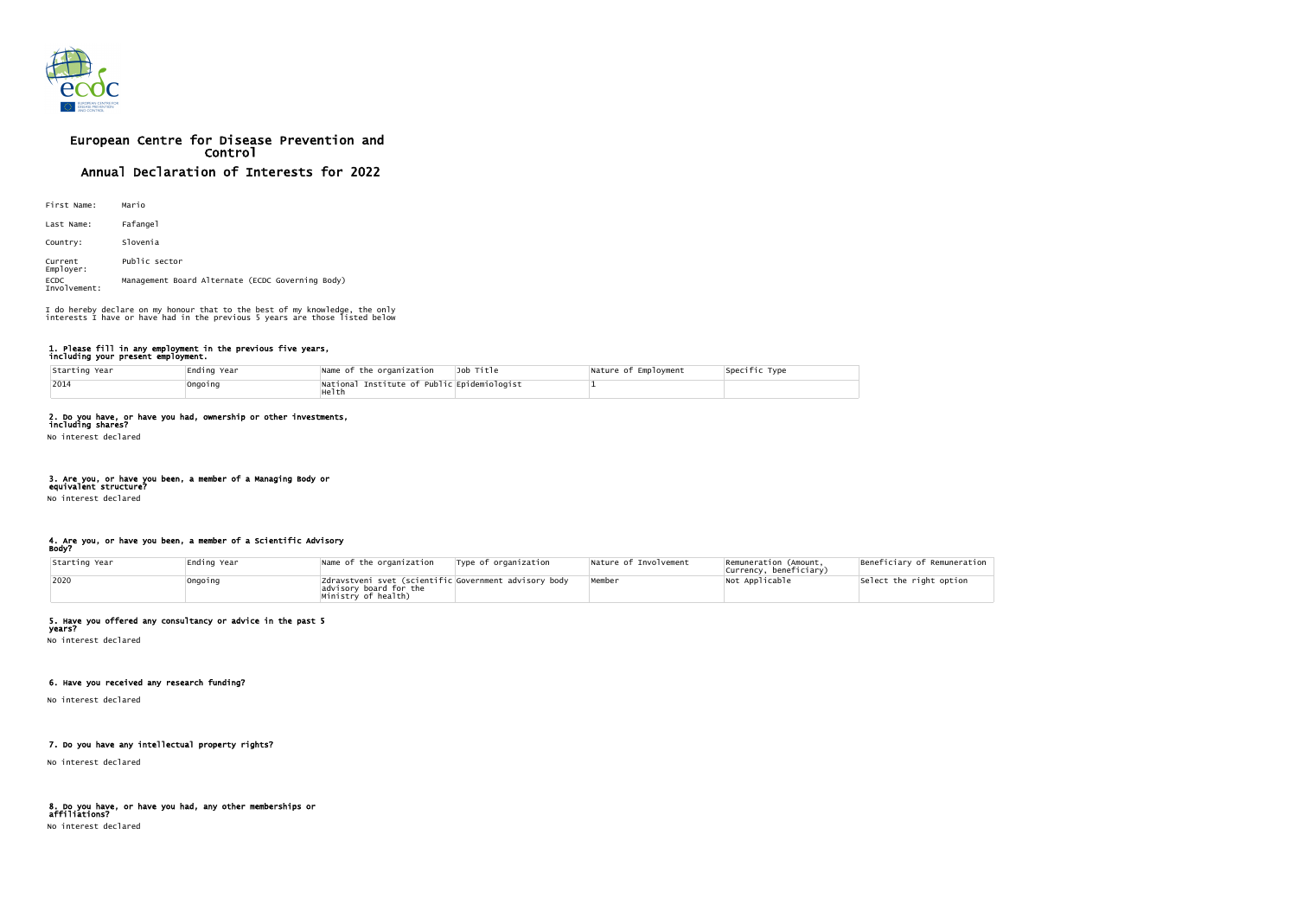

# European Centre for Disease Prevention and Control Annual Declaration of Interests for 2022

| First Name:                 | Mario                                            |
|-----------------------------|--------------------------------------------------|
| Last Name:                  | Fafangel                                         |
| Country:                    | Slovenia                                         |
| Current<br>Employer:        | Public sector                                    |
| <b>ECDC</b><br>Involvement: | Management Board Alternate (ECDC Governing Body) |

#### 1. Please fill in any employment in the previous five years, including your present employment.

| Starting Year | Ending Year | Name of the organization                             | Job Title | Nature of Employment | Specific Type |
|---------------|-------------|------------------------------------------------------|-----------|----------------------|---------------|
| 2014          | Ongoing     | National Institute of Public Epidemiologist<br>Helth |           |                      |               |

# 2. Do you have, or have you had, ownership or other investments,

including shares? No interest declared

# 3. Are you, or have you been, a member of a Managing Body or

equivalent structure?

No interest declared

#### 4. Are you, or have you been, a member of a Scientific Advisory Body?

| Starting Year | Ending Year | Name of the organization                                                                               | Type of organization | Nature of Involvement | Remuneration (Amount,<br>Currency, beneficiary) | Beneficiary of Remuneration |
|---------------|-------------|--------------------------------------------------------------------------------------------------------|----------------------|-----------------------|-------------------------------------------------|-----------------------------|
| 2020          | Ongoing     | Zdravstveni svet (scientific Government advisory body<br>advisory board for the<br>Ministry of health) |                      | Member                | Not Applicable                                  | Select the right option     |

### 5. Have you offered any consultancy or advice in the past 5

years? No interest declared

# 6. Have you received any research funding?

No interest declared

# 7. Do you have any intellectual property rights?

No interest declared

#### 8. Do you have, or have you had, any other memberships or affiliations?

No interest declared

I do hereby declare on my honour that to the best of my knowledge, the only interests I have or have had in the previous 5 years are those listed below